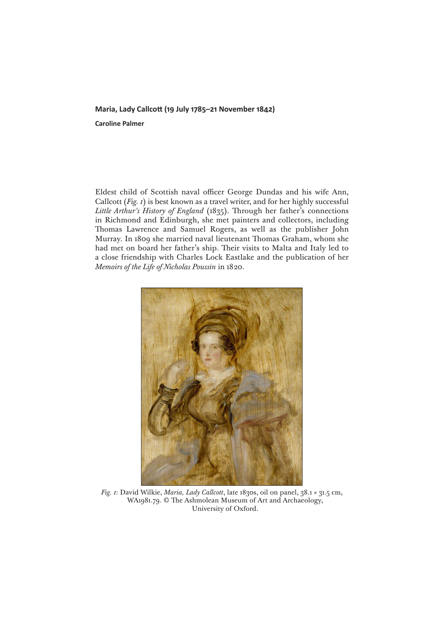## **Maria, Lady Callcott (19 July 1785–21 November 1842)**

**Caroline Palmer**

Eldest child of Scottish naval officer George Dundas and his wife Ann, Callcott (*Fig. 1*) is best known as a travel writer, and for her highly successful *Little Arthur's History of England* (1835). Through her father's connections in Richmond and Edinburgh, she met painters and collectors, including Thomas Lawrence and Samuel Rogers, as well as the publisher John Murray. In 1809 she married naval lieutenant Thomas Graham, whom she had met on board her father's ship. Their visits to Malta and Italy led to a close friendship with Charles Lock Eastlake and the publication of her *Memoirs of the Life of Nicholas Poussin* in 1820.



*Fig. 1*: David Wilkie, *Maria, Lady Callcott*, late 1830s, oil on panel, 38.1 × 31.5 cm, WA1981.79. © The Ashmolean Museum of Art and Archaeology, University of Oxford.